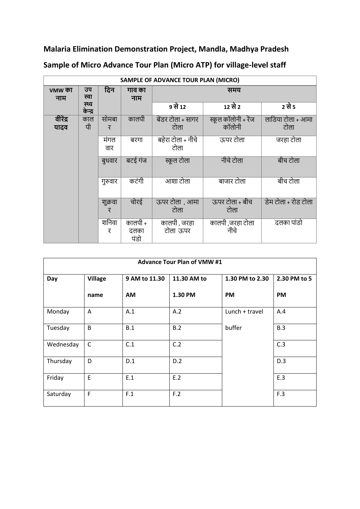**Malaria Elimination Demonstration Project, Mandla, Madhya Pradesh**

| SAMPLE OF ADVANCE TOUR PLAN (MICRO) |                  |              |                         |                           |                               |                           |
|-------------------------------------|------------------|--------------|-------------------------|---------------------------|-------------------------------|---------------------------|
| vmw का<br>नाम                       | उप<br>स्वा       | दिन          | गाव का<br>नाम           | समय                       |                               |                           |
|                                     | स्थ्य<br>केन्द्र |              |                         | 9 से 12                   | 12 से 2                       | 2 से 5                    |
| वीरेंद्र<br>यादव                    | काल<br>पी        | सोमबा<br>र   | कालपी                   | बेंडर टोला + सागर<br>टोला | स्कूल कॉलोनी + रेंज<br>कॉलोनी | लाडिया टोला + आमा<br>टोला |
|                                     |                  | मंगल<br>वार  | बरगा                    | बहेरा टोला + नीचे<br>टोला | ऊपर टोला                      | जरहा टोला                 |
|                                     |                  | बुधवार       | बटई गंज                 | स्कूल टोला                | नीचे टोला                     | बीच टोला                  |
|                                     |                  | गुरुवार      | कटंगी                   | आशा टोला                  | बाजार टोला                    | बीच टोला                  |
|                                     |                  | शुक्रवा<br>र | चोरई                    | ऊपर टोला , आमा<br>टोला    | ऊपर टोला + बीच<br>टोला        | डेम टोला + रोड टोला       |
|                                     |                  | शनिवा<br>र   | कालपी +<br>दलका<br>पंडो | कालपी , जरहा<br>टोला ऊपर  | कालपी,जरहा टोला<br>नीचे       | दलका पांडो                |

**Sample of Micro Advance Tour Plan (Micro ATP) for village-level staff**

| <b>Advance Tour Plan of VMW #1</b> |                |               |             |                 |              |
|------------------------------------|----------------|---------------|-------------|-----------------|--------------|
| Day                                | <b>Village</b> | 9 AM to 11.30 | 11.30 AM to | 1.30 PM to 2.30 | 2.30 PM to 5 |
|                                    | name           | AM            | 1.30 PM     | <b>PM</b>       | PM           |
| Monday                             | A              | A.1           | A.2         | Lunch + travel  | A.4          |
| Tuesday                            | B              | B.1           | B.2         | buffer          | B.3          |
| Wednesday                          | $\mathsf{C}$   | C.1           | C.2         |                 | C.3          |
| Thursday                           | D              | D.1           | D.2         |                 | D.3          |
| Friday                             | E              | E.1           | E.2         |                 | E.3          |
| Saturday                           | F              | F.1           | F.2         |                 | F.3          |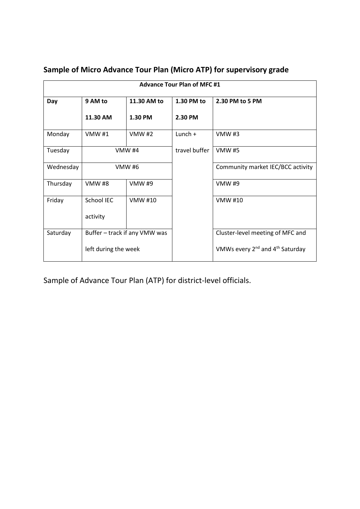| <b>Advance Tour Plan of MFC #1</b> |                               |                |               |                                                         |  |  |
|------------------------------------|-------------------------------|----------------|---------------|---------------------------------------------------------|--|--|
| Day                                | 9 AM to                       | 11.30 AM to    | 1.30 PM to    | 2.30 PM to 5 PM                                         |  |  |
|                                    | 11.30 AM                      | 1.30 PM        | 2.30 PM       |                                                         |  |  |
| Monday                             | VMW #1                        | <b>VMW#2</b>   | Lunch $+$     | <b>VMW#3</b>                                            |  |  |
| Tuesday                            | <b>VMW #4</b>                 |                | travel buffer | <b>VMW#5</b>                                            |  |  |
| Wednesday                          | <b>VMW #6</b>                 |                |               | Community market IEC/BCC activity                       |  |  |
| Thursday                           | <b>VMW#8</b>                  | <b>VMW#9</b>   |               | <b>VMW #9</b>                                           |  |  |
| Friday                             | School IEC                    | <b>VMW #10</b> |               | <b>VMW #10</b>                                          |  |  |
|                                    | activity                      |                |               |                                                         |  |  |
| Saturday                           | Buffer - track if any VMW was |                |               | Cluster-level meeting of MFC and                        |  |  |
|                                    | left during the week          |                |               | VMWs every 2 <sup>nd</sup> and 4 <sup>th</sup> Saturday |  |  |

## **Sample of Micro Advance Tour Plan (Micro ATP) for supervisory grade**

Sample of Advance Tour Plan (ATP) for district-level officials.